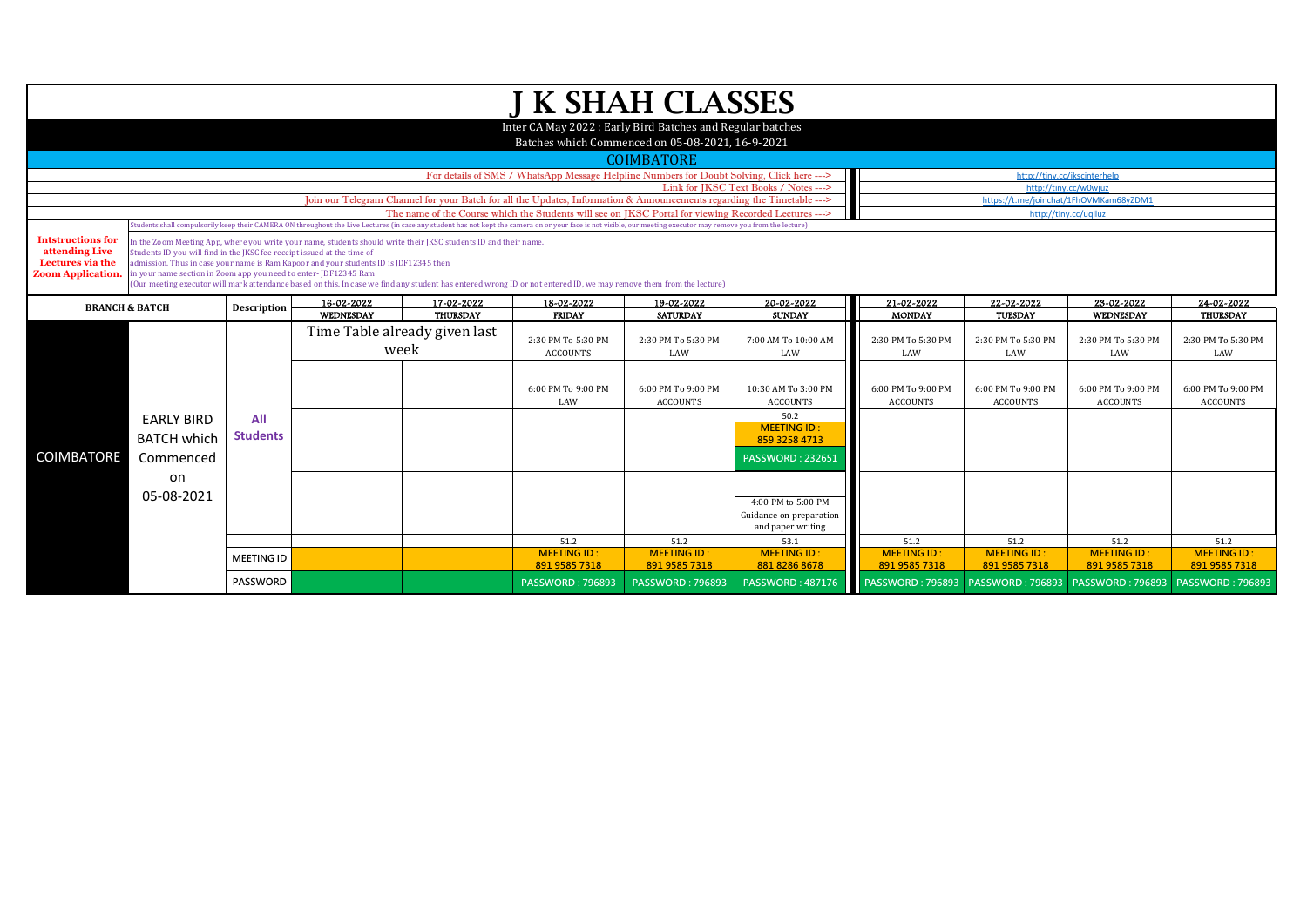| <b>J K SHAH CLASSES</b>                                                                                       |                                                                                                                                                |                    |                                                                                       |                                                                                                                                                                 |                                                                                                                                                                                                                  |                                        |                                              |                                     |                       |                         |                               |  |  |  |
|---------------------------------------------------------------------------------------------------------------|------------------------------------------------------------------------------------------------------------------------------------------------|--------------------|---------------------------------------------------------------------------------------|-----------------------------------------------------------------------------------------------------------------------------------------------------------------|------------------------------------------------------------------------------------------------------------------------------------------------------------------------------------------------------------------|----------------------------------------|----------------------------------------------|-------------------------------------|-----------------------|-------------------------|-------------------------------|--|--|--|
|                                                                                                               |                                                                                                                                                |                    |                                                                                       |                                                                                                                                                                 |                                                                                                                                                                                                                  |                                        |                                              |                                     |                       |                         |                               |  |  |  |
| Inter CA May 2022: Early Bird Batches and Regular batches<br>Batches which Commenced on 05-08-2021, 16-9-2021 |                                                                                                                                                |                    |                                                                                       |                                                                                                                                                                 |                                                                                                                                                                                                                  |                                        |                                              |                                     |                       |                         |                               |  |  |  |
|                                                                                                               |                                                                                                                                                |                    |                                                                                       |                                                                                                                                                                 |                                                                                                                                                                                                                  |                                        |                                              |                                     |                       |                         |                               |  |  |  |
|                                                                                                               | <b>COIMBATORE</b><br>For details of SMS / WhatsApp Message Helpline Numbers for Doubt Solving, Click here ---><br>http://tiny.cc/jkscinterhelp |                    |                                                                                       |                                                                                                                                                                 |                                                                                                                                                                                                                  |                                        |                                              |                                     |                       |                         |                               |  |  |  |
|                                                                                                               |                                                                                                                                                |                    |                                                                                       | http://tiny.cc/w0wjuz                                                                                                                                           |                                                                                                                                                                                                                  |                                        |                                              |                                     |                       |                         |                               |  |  |  |
|                                                                                                               |                                                                                                                                                |                    |                                                                                       | Link for JKSC Text Books / Notes ---><br>Join our Telegram Channel for your Batch for all the Updates, Information & Announcements regarding the Timetable ---> |                                                                                                                                                                                                                  | https://t.me/joinchat/1FhOVMKam68yZDM1 |                                              |                                     |                       |                         |                               |  |  |  |
|                                                                                                               |                                                                                                                                                |                    |                                                                                       |                                                                                                                                                                 | The name of the Course which the Students will see on JKSC Portal for viewing Recorded Lectures --->                                                                                                             |                                        |                                              |                                     | http://tiny.cc/uqlluz |                         |                               |  |  |  |
|                                                                                                               |                                                                                                                                                |                    |                                                                                       |                                                                                                                                                                 | Students shall compulsorily keep their CAMERA ON throughout the Live Lectures (in case any student has not kept the camera on or your face is not visible, our meeting executor may remove you from the lecture) |                                        |                                              |                                     |                       |                         |                               |  |  |  |
| <b>Intstructions for</b><br>attending Live                                                                    | Students ID you will find in the JKSC fee receipt issued at the time of                                                                        |                    |                                                                                       | in the Zoom Meeting App, where you write your name, students should write their JKSC students ID and their name.                                                |                                                                                                                                                                                                                  |                                        |                                              |                                     |                       |                         |                               |  |  |  |
| Lectures via the                                                                                              |                                                                                                                                                |                    | admission. Thus in case your name is Ram Kapoor and your students ID is JDF12345 then |                                                                                                                                                                 |                                                                                                                                                                                                                  |                                        |                                              |                                     |                       |                         |                               |  |  |  |
| <b>Zoom Application.</b>                                                                                      | in your name section in Zoom app you need to enter-JDF12345 Ram                                                                                |                    |                                                                                       |                                                                                                                                                                 | (Our meeting executor will mark attendance based on this. In case we find any student has entered wrong ID or not entered ID, we may remove them from the lecture)                                               |                                        |                                              |                                     |                       |                         |                               |  |  |  |
|                                                                                                               |                                                                                                                                                |                    |                                                                                       |                                                                                                                                                                 |                                                                                                                                                                                                                  |                                        |                                              |                                     |                       |                         |                               |  |  |  |
| <b>BRANCH &amp; BATCH</b>                                                                                     |                                                                                                                                                | <b>Description</b> | 16-02-2022<br>WEDNESDAY                                                               | 17-02-2022<br><b>THURSDAY</b>                                                                                                                                   | 18-02-2022<br><b>FRIDAY</b>                                                                                                                                                                                      | 19-02-2022<br><b>SATURDAY</b>          | 20-02-2022<br><b>SUNDAY</b>                  | 21-02-2022<br><b>MONDAY</b>         | 22-02-2022<br>TUESDAY | 23-02-2022<br>WEDNESDAY | 24-02-2022<br><b>THURSDAY</b> |  |  |  |
|                                                                                                               |                                                                                                                                                |                    | Time Table already given last                                                         |                                                                                                                                                                 |                                                                                                                                                                                                                  |                                        |                                              |                                     |                       |                         |                               |  |  |  |
|                                                                                                               |                                                                                                                                                |                    | week                                                                                  |                                                                                                                                                                 | 2:30 PM To 5:30 PM                                                                                                                                                                                               | 2:30 PM To 5:30 PM                     | 7:00 AM To 10:00 AM                          | 2:30 PM To 5:30 PM                  | 2:30 PM To 5:30 PM    | 2:30 PM To 5:30 PM      | 2:30 PM To 5:30 PM            |  |  |  |
|                                                                                                               |                                                                                                                                                |                    |                                                                                       |                                                                                                                                                                 | <b>ACCOUNTS</b>                                                                                                                                                                                                  | LAW                                    | LAW                                          | LAW                                 | LAW                   | LAW                     | LAW                           |  |  |  |
|                                                                                                               |                                                                                                                                                |                    |                                                                                       |                                                                                                                                                                 |                                                                                                                                                                                                                  |                                        |                                              |                                     |                       |                         |                               |  |  |  |
|                                                                                                               |                                                                                                                                                |                    |                                                                                       |                                                                                                                                                                 | 6:00 PM To 9:00 PM                                                                                                                                                                                               | 6:00 PM To 9:00 PM                     | 10:30 AM To 3:00 PM                          | 6:00 PM To 9:00 PM                  | 6:00 PM To 9:00 PM    | 6:00 PM To 9:00 PM      | 6:00 PM To 9:00 PM            |  |  |  |
|                                                                                                               |                                                                                                                                                |                    |                                                                                       |                                                                                                                                                                 | LAW                                                                                                                                                                                                              | <b>ACCOUNTS</b>                        | <b>ACCOUNTS</b>                              | <b>ACCOUNTS</b>                     | <b>ACCOUNTS</b>       | <b>ACCOUNTS</b>         | <b>ACCOUNTS</b>               |  |  |  |
|                                                                                                               | <b>EARLY BIRD</b>                                                                                                                              | All                |                                                                                       |                                                                                                                                                                 |                                                                                                                                                                                                                  |                                        | 50.2<br><b>MEETING ID:</b>                   |                                     |                       |                         |                               |  |  |  |
|                                                                                                               | <b>BATCH which</b>                                                                                                                             | <b>Students</b>    |                                                                                       |                                                                                                                                                                 |                                                                                                                                                                                                                  |                                        | 859 3258 4713                                |                                     |                       |                         |                               |  |  |  |
| <b>COIMBATORE</b>                                                                                             | Commenced                                                                                                                                      |                    |                                                                                       |                                                                                                                                                                 |                                                                                                                                                                                                                  |                                        | <b>PASSWORD: 232651</b>                      |                                     |                       |                         |                               |  |  |  |
|                                                                                                               | on                                                                                                                                             |                    |                                                                                       |                                                                                                                                                                 |                                                                                                                                                                                                                  |                                        |                                              |                                     |                       |                         |                               |  |  |  |
|                                                                                                               |                                                                                                                                                |                    |                                                                                       |                                                                                                                                                                 |                                                                                                                                                                                                                  |                                        |                                              |                                     |                       |                         |                               |  |  |  |
|                                                                                                               | 05-08-2021                                                                                                                                     |                    |                                                                                       |                                                                                                                                                                 |                                                                                                                                                                                                                  |                                        | 4:00 PM to 5:00 PM                           |                                     |                       |                         |                               |  |  |  |
|                                                                                                               |                                                                                                                                                |                    |                                                                                       |                                                                                                                                                                 |                                                                                                                                                                                                                  |                                        | Guidance on preparation<br>and paper writing |                                     |                       |                         |                               |  |  |  |
|                                                                                                               |                                                                                                                                                |                    |                                                                                       |                                                                                                                                                                 | 51.2                                                                                                                                                                                                             | 51.2                                   | 53.1                                         | 51.2                                | 51.2                  | 51.2                    | 51.2                          |  |  |  |
|                                                                                                               |                                                                                                                                                | <b>MEETING ID</b>  |                                                                                       |                                                                                                                                                                 | <b>MEETING ID:</b>                                                                                                                                                                                               | <b>MEETING ID:</b>                     | <b>MEETING ID:</b>                           | <b>MEETING ID:</b>                  | <b>MEETING ID:</b>    | <b>MEETING ID:</b>      | <b>MEETING ID:</b>            |  |  |  |
|                                                                                                               |                                                                                                                                                |                    |                                                                                       |                                                                                                                                                                 | 891 9585 7318                                                                                                                                                                                                    | 891 9585 7318                          | 881 8286 8678                                | 891 9585 7318                       | 891 9585 7318         | 891 9585 7318           | 891 9585 7318                 |  |  |  |
|                                                                                                               |                                                                                                                                                | <b>PASSWORD</b>    |                                                                                       |                                                                                                                                                                 | <b>PASSWORD: 796893</b>                                                                                                                                                                                          | <b>PASSWORD: 796893</b>                | <b>PASSWORD: 487176</b>                      | PASSWORD: 796893   PASSWORD: 796893 |                       | <b>PASSWORD: 796893</b> | <b>PASSWORD: 796893</b>       |  |  |  |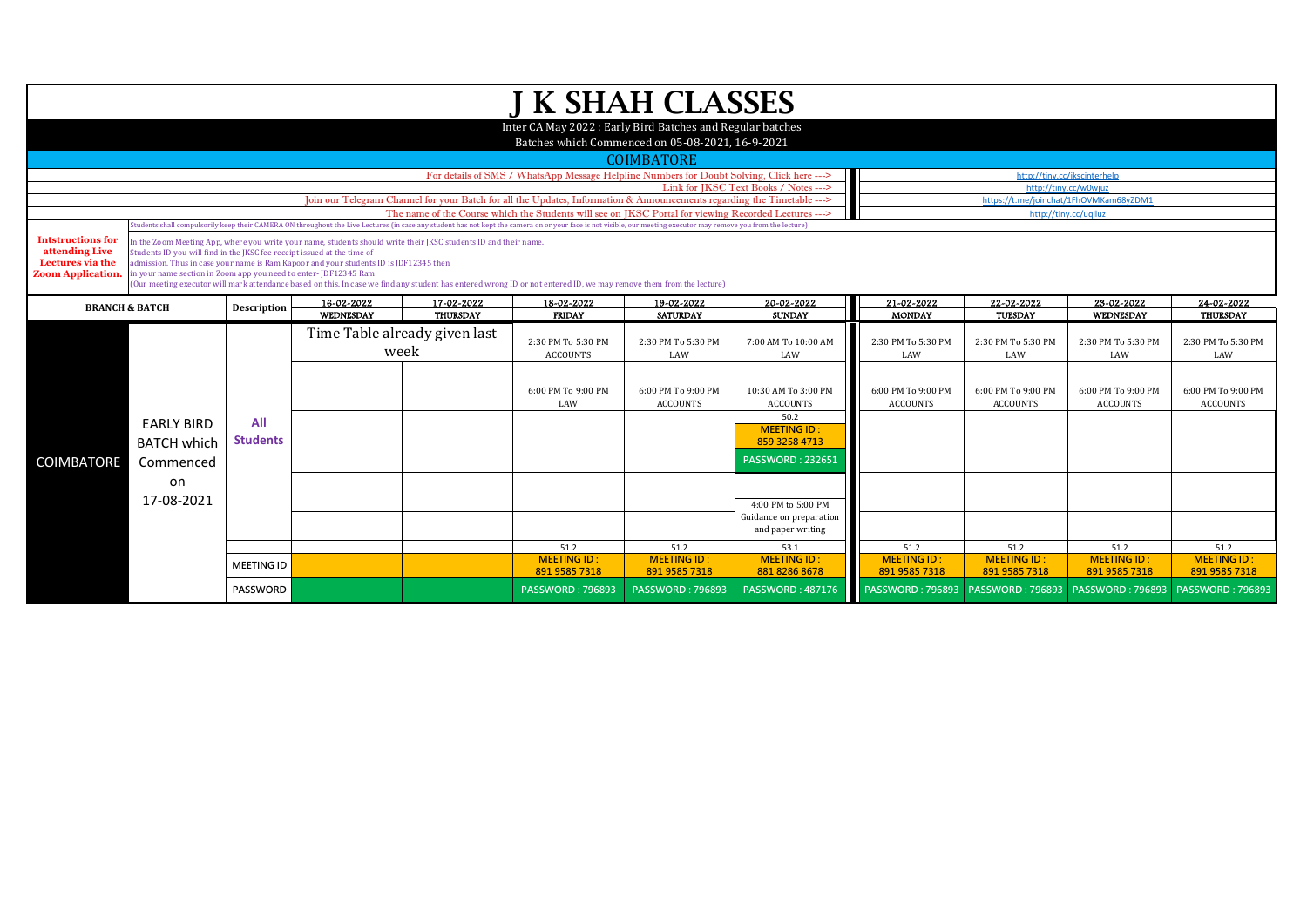| J K SHAH CLASSES                                                                                               |                                                                         |                    |                                                                                       |                                                                                                                        |                                                                                                                                                                                                                                                                                                                          |                                        |                            |                    |                    |                       |                         |  |  |  |
|----------------------------------------------------------------------------------------------------------------|-------------------------------------------------------------------------|--------------------|---------------------------------------------------------------------------------------|------------------------------------------------------------------------------------------------------------------------|--------------------------------------------------------------------------------------------------------------------------------------------------------------------------------------------------------------------------------------------------------------------------------------------------------------------------|----------------------------------------|----------------------------|--------------------|--------------------|-----------------------|-------------------------|--|--|--|
|                                                                                                                |                                                                         |                    |                                                                                       |                                                                                                                        |                                                                                                                                                                                                                                                                                                                          |                                        |                            |                    |                    |                       |                         |  |  |  |
| Inter CA May 2022 : Early Bird Batches and Regular batches<br>Batches which Commenced on 05-08-2021, 16-9-2021 |                                                                         |                    |                                                                                       |                                                                                                                        |                                                                                                                                                                                                                                                                                                                          |                                        |                            |                    |                    |                       |                         |  |  |  |
|                                                                                                                | <b>COIMBATORE</b>                                                       |                    |                                                                                       |                                                                                                                        |                                                                                                                                                                                                                                                                                                                          |                                        |                            |                    |                    |                       |                         |  |  |  |
|                                                                                                                |                                                                         |                    |                                                                                       | http://tiny.cc/jkscinterhelp                                                                                           |                                                                                                                                                                                                                                                                                                                          |                                        |                            |                    |                    |                       |                         |  |  |  |
|                                                                                                                |                                                                         |                    |                                                                                       | http://tinv.cc/w0wiuz                                                                                                  |                                                                                                                                                                                                                                                                                                                          |                                        |                            |                    |                    |                       |                         |  |  |  |
|                                                                                                                |                                                                         |                    |                                                                                       | Join our Telegram Channel for your Batch for all the Updates, Information & Announcements regarding the Timetable ---> |                                                                                                                                                                                                                                                                                                                          | https://t.me/joinchat/1FhOVMKam68yZDM1 |                            |                    |                    |                       |                         |  |  |  |
|                                                                                                                |                                                                         |                    |                                                                                       |                                                                                                                        | The name of the Course which the Students will see on JKSC Portal for viewing Recorded Lectures ---><br>Students shall compulsorily keep their CAMERA ON throughout the Live Lectures (in case any student has not kept the camera on or your face is not visible, our meeting executor may remove you from the lecture) |                                        |                            |                    |                    | http://tiny.cc/uqlluz |                         |  |  |  |
| <b>Intstructions for</b>                                                                                       |                                                                         |                    |                                                                                       |                                                                                                                        |                                                                                                                                                                                                                                                                                                                          |                                        |                            |                    |                    |                       |                         |  |  |  |
| attending Live                                                                                                 | Students ID you will find in the JKSC fee receipt issued at the time of |                    |                                                                                       | In the Zoom Meeting App, where you write your name, students should write their JKSC students ID and their name.       |                                                                                                                                                                                                                                                                                                                          |                                        |                            |                    |                    |                       |                         |  |  |  |
| Lectures via the                                                                                               |                                                                         |                    | admission. Thus in case your name is Ram Kapoor and your students ID is JDF12345 then |                                                                                                                        |                                                                                                                                                                                                                                                                                                                          |                                        |                            |                    |                    |                       |                         |  |  |  |
| <b>Zoom Application.</b>                                                                                       | in your name section in Zoom app you need to enter-JDF12345 Ram         |                    |                                                                                       |                                                                                                                        | (Our meeting executor will mark attendance based on this. In case we find any student has entered wrong ID or not entered ID, we may remove them from the lecture)                                                                                                                                                       |                                        |                            |                    |                    |                       |                         |  |  |  |
|                                                                                                                |                                                                         |                    | 16-02-2022                                                                            | 17-02-2022                                                                                                             | 18-02-2022                                                                                                                                                                                                                                                                                                               | 19-02-2022                             | 20-02-2022                 | 21-02-2022         | 22-02-2022         | 23-02-2022            | 24-02-2022              |  |  |  |
|                                                                                                                | <b>BRANCH &amp; BATCH</b>                                               | <b>Description</b> | WEDNESDAY                                                                             | <b>THURSDAY</b>                                                                                                        | <b>FRIDAY</b>                                                                                                                                                                                                                                                                                                            | <b>SATURDAY</b>                        | <b>SUNDAY</b>              | <b>MONDAY</b>      | <b>TUESDAY</b>     | <b>WEDNESDAY</b>      | <b>THURSDAY</b>         |  |  |  |
|                                                                                                                |                                                                         |                    | Time Table already given last                                                         |                                                                                                                        |                                                                                                                                                                                                                                                                                                                          |                                        |                            |                    |                    |                       |                         |  |  |  |
|                                                                                                                |                                                                         |                    | week                                                                                  |                                                                                                                        | 2:30 PM To 5:30 PM                                                                                                                                                                                                                                                                                                       | 2:30 PM To 5:30 PM                     | 7:00 AM To 10:00 AM        | 2:30 PM To 5:30 PM | 2:30 PM To 5:30 PM | 2:30 PM To 5:30 PM    | 2:30 PM To 5:30 PM      |  |  |  |
|                                                                                                                |                                                                         |                    |                                                                                       |                                                                                                                        | <b>ACCOUNTS</b>                                                                                                                                                                                                                                                                                                          | LAW                                    | LAW                        | LAW                | LAW                | LAW                   | LAW                     |  |  |  |
|                                                                                                                |                                                                         |                    |                                                                                       |                                                                                                                        |                                                                                                                                                                                                                                                                                                                          |                                        |                            |                    |                    |                       |                         |  |  |  |
|                                                                                                                |                                                                         |                    |                                                                                       |                                                                                                                        | 6:00 PM To 9:00 PM                                                                                                                                                                                                                                                                                                       | 6:00 PM To 9:00 PM                     | 10:30 AM To 3:00 PM        | 6:00 PM To 9:00 PM | 6:00 PM To 9:00 PM | 6:00 PM To 9:00 PM    | 6:00 PM To 9:00 PM      |  |  |  |
|                                                                                                                |                                                                         |                    |                                                                                       |                                                                                                                        | LAW                                                                                                                                                                                                                                                                                                                      | <b>ACCOUNTS</b>                        | <b>ACCOUNTS</b>            | <b>ACCOUNTS</b>    | <b>ACCOUNTS</b>    | <b>ACCOUNTS</b>       | <b>ACCOUNTS</b>         |  |  |  |
|                                                                                                                | <b>EARLY BIRD</b>                                                       | All                |                                                                                       |                                                                                                                        |                                                                                                                                                                                                                                                                                                                          |                                        | 50.2<br><b>MEETING ID:</b> |                    |                    |                       |                         |  |  |  |
|                                                                                                                | <b>BATCH which</b>                                                      | <b>Students</b>    |                                                                                       |                                                                                                                        |                                                                                                                                                                                                                                                                                                                          |                                        | 859 3258 4713              |                    |                    |                       |                         |  |  |  |
|                                                                                                                |                                                                         |                    |                                                                                       |                                                                                                                        |                                                                                                                                                                                                                                                                                                                          |                                        | <b>PASSWORD: 232651</b>    |                    |                    |                       |                         |  |  |  |
| <b>COIMBATORE</b>                                                                                              | Commenced                                                               |                    |                                                                                       |                                                                                                                        |                                                                                                                                                                                                                                                                                                                          |                                        |                            |                    |                    |                       |                         |  |  |  |
|                                                                                                                | on                                                                      |                    |                                                                                       |                                                                                                                        |                                                                                                                                                                                                                                                                                                                          |                                        |                            |                    |                    |                       |                         |  |  |  |
|                                                                                                                | 17-08-2021                                                              |                    |                                                                                       |                                                                                                                        |                                                                                                                                                                                                                                                                                                                          |                                        | 4:00 PM to 5:00 PM         |                    |                    |                       |                         |  |  |  |
|                                                                                                                |                                                                         |                    |                                                                                       |                                                                                                                        |                                                                                                                                                                                                                                                                                                                          |                                        | Guidance on preparation    |                    |                    |                       |                         |  |  |  |
|                                                                                                                |                                                                         |                    |                                                                                       |                                                                                                                        |                                                                                                                                                                                                                                                                                                                          |                                        | and paper writing          |                    |                    |                       |                         |  |  |  |
|                                                                                                                |                                                                         |                    |                                                                                       |                                                                                                                        | 51.2                                                                                                                                                                                                                                                                                                                     | 51.2                                   | 53.1                       | 51.2               | 51.2               | 51.2                  | 51.2                    |  |  |  |
|                                                                                                                |                                                                         | <b>MEETING ID</b>  |                                                                                       |                                                                                                                        | <b>MEETING ID:</b>                                                                                                                                                                                                                                                                                                       | <b>MEETING ID:</b>                     | <b>MEETING ID:</b>         | <b>MEETING ID:</b> | <b>MEETING ID:</b> | <b>MEETING ID:</b>    | <b>MEETING ID:</b>      |  |  |  |
|                                                                                                                |                                                                         |                    |                                                                                       |                                                                                                                        | 891 9585 7318                                                                                                                                                                                                                                                                                                            | 891 9585 7318                          | 881 8286 8678              | 891 9585 7318      | 891 9585 7318      | 891 9585 7318         | 891 9585 7318           |  |  |  |
|                                                                                                                |                                                                         | PASSWORD           |                                                                                       |                                                                                                                        | <b>PASSWORD: 796893</b>                                                                                                                                                                                                                                                                                                  | <b>PASSWORD: 796893</b>                | <b>PASSWORD: 487176</b>    |                    |                    |                       | <b>PASSWORD: 796893</b> |  |  |  |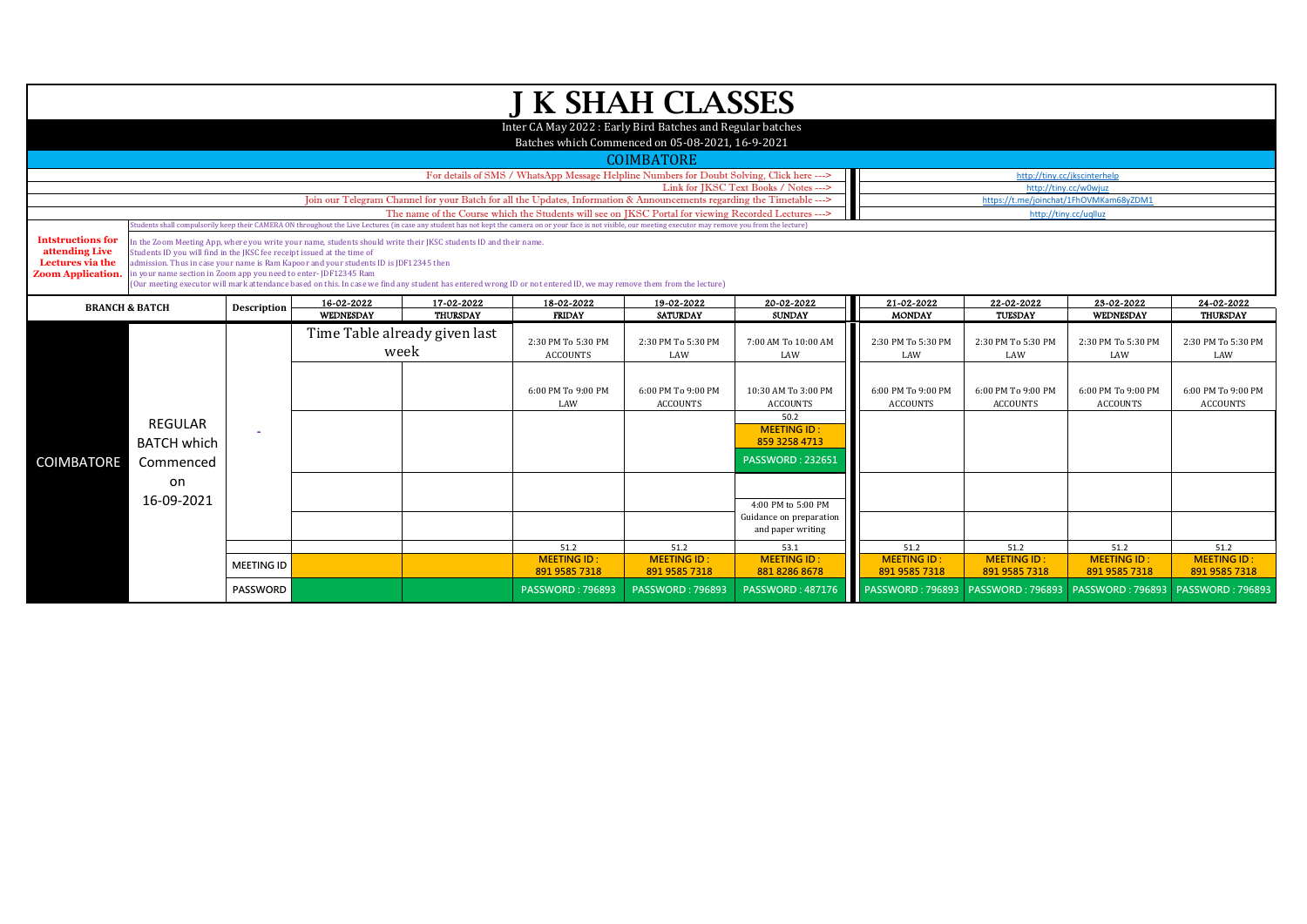| <b>J K SHAH CLASSES</b>                                   |                                                                                                                                                                                                                                                                                                                                     |                                                                                                                                                          |                                                                                                                        |                                        |                                                                                                                                                                    |                                       |                                               |                                       |                                       |                                       |                                       |  |  |  |
|-----------------------------------------------------------|-------------------------------------------------------------------------------------------------------------------------------------------------------------------------------------------------------------------------------------------------------------------------------------------------------------------------------------|----------------------------------------------------------------------------------------------------------------------------------------------------------|------------------------------------------------------------------------------------------------------------------------|----------------------------------------|--------------------------------------------------------------------------------------------------------------------------------------------------------------------|---------------------------------------|-----------------------------------------------|---------------------------------------|---------------------------------------|---------------------------------------|---------------------------------------|--|--|--|
| Inter CA May 2022: Early Bird Batches and Regular batches |                                                                                                                                                                                                                                                                                                                                     |                                                                                                                                                          |                                                                                                                        |                                        |                                                                                                                                                                    |                                       |                                               |                                       |                                       |                                       |                                       |  |  |  |
|                                                           | Batches which Commenced on 05-08-2021, 16-9-2021                                                                                                                                                                                                                                                                                    |                                                                                                                                                          |                                                                                                                        |                                        |                                                                                                                                                                    |                                       |                                               |                                       |                                       |                                       |                                       |  |  |  |
|                                                           |                                                                                                                                                                                                                                                                                                                                     |                                                                                                                                                          |                                                                                                                        |                                        |                                                                                                                                                                    | <b>COIMBATORE</b>                     |                                               |                                       |                                       |                                       |                                       |  |  |  |
|                                                           |                                                                                                                                                                                                                                                                                                                                     |                                                                                                                                                          |                                                                                                                        | http://tiny.cc/jkscinterhelp           |                                                                                                                                                                    |                                       |                                               |                                       |                                       |                                       |                                       |  |  |  |
|                                                           |                                                                                                                                                                                                                                                                                                                                     |                                                                                                                                                          |                                                                                                                        | http://tiny.cc/w0wjuz                  |                                                                                                                                                                    |                                       |                                               |                                       |                                       |                                       |                                       |  |  |  |
|                                                           |                                                                                                                                                                                                                                                                                                                                     |                                                                                                                                                          | Join our Telegram Channel for your Batch for all the Updates, Information & Announcements regarding the Timetable ---> | https://t.me/joinchat/1FhOVMKam68yZDM1 |                                                                                                                                                                    |                                       |                                               |                                       |                                       |                                       |                                       |  |  |  |
|                                                           |                                                                                                                                                                                                                                                                                                                                     |                                                                                                                                                          |                                                                                                                        |                                        | The name of the Course which the Students will see on JKSC Portal for viewing Recorded Lectures --->                                                               |                                       |                                               |                                       |                                       | http://tiny.cc/uqlluz                 |                                       |  |  |  |
|                                                           | tudents shall compulsorily keep their CAMERA ON throughout the Live Lectures (in case any student has not kept the camera on or your face is not visible, our meeting executor may remove you from the lecture)<br>In the Zoom Meeting App, where you write your name, students should write their JKSC students ID and their name. |                                                                                                                                                          |                                                                                                                        |                                        |                                                                                                                                                                    |                                       |                                               |                                       |                                       |                                       |                                       |  |  |  |
| <b>Intstructions for</b><br>attending Live                | Students ID you will find in the JKSC fee receipt issued at the time of                                                                                                                                                                                                                                                             |                                                                                                                                                          |                                                                                                                        |                                        |                                                                                                                                                                    |                                       |                                               |                                       |                                       |                                       |                                       |  |  |  |
| Lectures via the                                          |                                                                                                                                                                                                                                                                                                                                     | admission. Thus in case your name is Ram Kapoor and your students ID is JDF12345 then<br>in your name section in Zoom app you need to enter-JDF12345 Ram |                                                                                                                        |                                        |                                                                                                                                                                    |                                       |                                               |                                       |                                       |                                       |                                       |  |  |  |
| <b>Zoom Application.</b>                                  |                                                                                                                                                                                                                                                                                                                                     |                                                                                                                                                          |                                                                                                                        |                                        | (Our meeting executor will mark attendance based on this. In case we find any student has entered wrong ID or not entered ID, we may remove them from the lecture) |                                       |                                               |                                       |                                       |                                       |                                       |  |  |  |
|                                                           |                                                                                                                                                                                                                                                                                                                                     |                                                                                                                                                          | 16-02-2022                                                                                                             | 17-02-2022                             | 18-02-2022                                                                                                                                                         | 19-02-2022                            | 20-02-2022                                    | 21-02-2022                            | 22-02-2022                            | 23-02-2022                            | 24-02-2022                            |  |  |  |
| <b>BRANCH &amp; BATCH</b>                                 |                                                                                                                                                                                                                                                                                                                                     | <b>Description</b>                                                                                                                                       | <b>WEDNESDAY</b>                                                                                                       | <b>THURSDAY</b>                        | <b>FRIDAY</b>                                                                                                                                                      | <b>SATURDAY</b>                       | <b>SUNDAY</b>                                 | <b>MONDAY</b>                         | <b>TUESDAY</b>                        | WEDNESDAY                             | <b>THURSDAY</b>                       |  |  |  |
|                                                           |                                                                                                                                                                                                                                                                                                                                     |                                                                                                                                                          |                                                                                                                        | Time Table already given last          |                                                                                                                                                                    |                                       |                                               |                                       |                                       |                                       |                                       |  |  |  |
|                                                           |                                                                                                                                                                                                                                                                                                                                     |                                                                                                                                                          | week                                                                                                                   |                                        | 2:30 PM To 5:30 PM<br>ACCOUNTS                                                                                                                                     | 2:30 PM To 5:30 PM<br>LAW             | 7:00 AM To 10:00 AM<br>LAW                    | 2:30 PM To 5:30 PM<br>LAW             | 2:30 PM To 5:30 PM<br>LAW             | 2:30 PM To 5:30 PM<br>LAW             | 2:30 PM To 5:30 PM<br>LAW             |  |  |  |
|                                                           |                                                                                                                                                                                                                                                                                                                                     |                                                                                                                                                          |                                                                                                                        |                                        |                                                                                                                                                                    |                                       |                                               |                                       |                                       |                                       |                                       |  |  |  |
|                                                           |                                                                                                                                                                                                                                                                                                                                     |                                                                                                                                                          |                                                                                                                        |                                        |                                                                                                                                                                    |                                       |                                               |                                       |                                       |                                       |                                       |  |  |  |
|                                                           |                                                                                                                                                                                                                                                                                                                                     |                                                                                                                                                          |                                                                                                                        |                                        | 6:00 PM To 9:00 PM<br>LAW                                                                                                                                          | 6:00 PM To 9:00 PM<br><b>ACCOUNTS</b> | 10:30 AM To 3:00 PM<br><b>ACCOUNTS</b>        | 6:00 PM To 9:00 PM<br><b>ACCOUNTS</b> | 6:00 PM To 9:00 PM<br><b>ACCOUNTS</b> | 6:00 PM To 9:00 PM<br><b>ACCOUNTS</b> | 6:00 PM To 9:00 PM<br><b>ACCOUNTS</b> |  |  |  |
|                                                           |                                                                                                                                                                                                                                                                                                                                     |                                                                                                                                                          |                                                                                                                        |                                        |                                                                                                                                                                    |                                       | 50.2                                          |                                       |                                       |                                       |                                       |  |  |  |
|                                                           | <b>REGULAR</b>                                                                                                                                                                                                                                                                                                                      |                                                                                                                                                          |                                                                                                                        |                                        |                                                                                                                                                                    |                                       | <b>MEETING ID:</b>                            |                                       |                                       |                                       |                                       |  |  |  |
|                                                           | <b>BATCH which</b>                                                                                                                                                                                                                                                                                                                  |                                                                                                                                                          |                                                                                                                        |                                        |                                                                                                                                                                    |                                       | 859 3258 4713                                 |                                       |                                       |                                       |                                       |  |  |  |
| <b>COIMBATORE</b>                                         | Commenced                                                                                                                                                                                                                                                                                                                           |                                                                                                                                                          |                                                                                                                        |                                        |                                                                                                                                                                    |                                       | <b>PASSWORD: 232651</b>                       |                                       |                                       |                                       |                                       |  |  |  |
|                                                           | on                                                                                                                                                                                                                                                                                                                                  |                                                                                                                                                          |                                                                                                                        |                                        |                                                                                                                                                                    |                                       |                                               |                                       |                                       |                                       |                                       |  |  |  |
|                                                           | 16-09-2021                                                                                                                                                                                                                                                                                                                          |                                                                                                                                                          |                                                                                                                        |                                        |                                                                                                                                                                    |                                       |                                               |                                       |                                       |                                       |                                       |  |  |  |
|                                                           |                                                                                                                                                                                                                                                                                                                                     |                                                                                                                                                          |                                                                                                                        |                                        |                                                                                                                                                                    |                                       | 4:00 PM to 5:00 PM<br>Guidance on preparation |                                       |                                       |                                       |                                       |  |  |  |
|                                                           |                                                                                                                                                                                                                                                                                                                                     |                                                                                                                                                          |                                                                                                                        |                                        |                                                                                                                                                                    |                                       | and paper writing                             |                                       |                                       |                                       |                                       |  |  |  |
|                                                           |                                                                                                                                                                                                                                                                                                                                     |                                                                                                                                                          |                                                                                                                        |                                        | 51.2                                                                                                                                                               | 51.2                                  | 53.1                                          | 51.2                                  | 51.2                                  | 51.2                                  | 51.2                                  |  |  |  |
|                                                           |                                                                                                                                                                                                                                                                                                                                     | <b>MEETING ID</b>                                                                                                                                        |                                                                                                                        |                                        | <b>MEETING ID:</b>                                                                                                                                                 | <b>MEETING ID:</b>                    | <b>MEETING ID:</b>                            | <b>MEETING ID:</b>                    | <b>MEETING ID:</b>                    | <b>MEETING ID:</b>                    | <b>MEETING ID:</b>                    |  |  |  |
|                                                           |                                                                                                                                                                                                                                                                                                                                     |                                                                                                                                                          |                                                                                                                        |                                        | 891 9585 7318                                                                                                                                                      | 891 9585 7318                         | 881 8286 8678                                 | 891 9585 7318                         | 891 9585 7318                         | 891 9585 7318                         | 891 9585 7318                         |  |  |  |
|                                                           |                                                                                                                                                                                                                                                                                                                                     | PASSWORD                                                                                                                                                 |                                                                                                                        |                                        | <b>PASSWORD: 796893</b>                                                                                                                                            | <b>PASSWORD: 796893</b>               | <b>PASSWORD: 487176</b>                       |                                       |                                       |                                       | <b>PASSWORD: 796893</b>               |  |  |  |